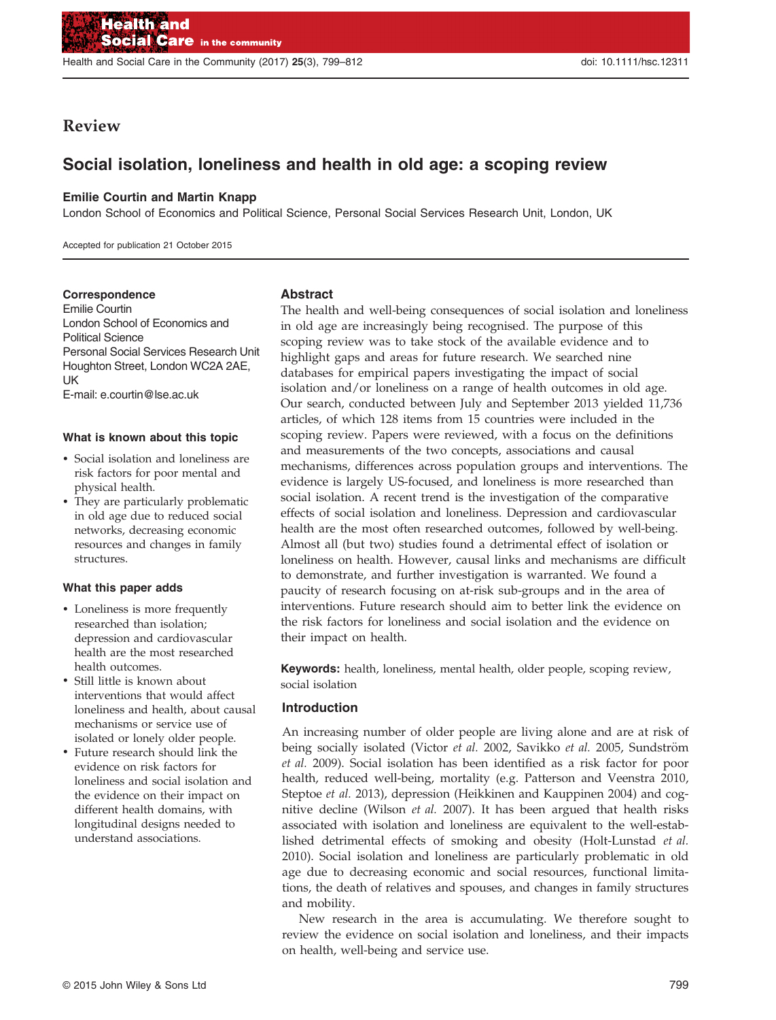Health and Social Care in the Community (2017) 25(3), 799–812 doi: 10.1111/hsc.12311

# Review

# Social isolation, loneliness and health in old age: a scoping review

### Emilie Courtin and Martin Knapp

London School of Economics and Political Science, Personal Social Services Research Unit, London, UK

Accepted for publication 21 October 2015

### Correspondence

Emilie Courtin London School of Economics and Political Science Personal Social Services Research Unit Houghton Street, London WC2A 2AE, **IIK** E-mail: e.courtin@lse.ac.uk

#### What is known about this topic

- Social isolation and loneliness are risk factors for poor mental and physical health.
- They are particularly problematic in old age due to reduced social networks, decreasing economic resources and changes in family structures.

### What this paper adds

- Loneliness is more frequently researched than isolation; depression and cardiovascular health are the most researched health outcomes.
- Still little is known about interventions that would affect loneliness and health, about causal mechanisms or service use of isolated or lonely older people.
- Future research should link the evidence on risk factors for loneliness and social isolation and the evidence on their impact on different health domains, with longitudinal designs needed to understand associations.

### Abstract

The health and well-being consequences of social isolation and loneliness in old age are increasingly being recognised. The purpose of this scoping review was to take stock of the available evidence and to highlight gaps and areas for future research. We searched nine databases for empirical papers investigating the impact of social isolation and/or loneliness on a range of health outcomes in old age. Our search, conducted between July and September 2013 yielded 11,736 articles, of which 128 items from 15 countries were included in the scoping review. Papers were reviewed, with a focus on the definitions and measurements of the two concepts, associations and causal mechanisms, differences across population groups and interventions. The evidence is largely US-focused, and loneliness is more researched than social isolation. A recent trend is the investigation of the comparative effects of social isolation and loneliness. Depression and cardiovascular health are the most often researched outcomes, followed by well-being. Almost all (but two) studies found a detrimental effect of isolation or loneliness on health. However, causal links and mechanisms are difficult to demonstrate, and further investigation is warranted. We found a paucity of research focusing on at-risk sub-groups and in the area of interventions. Future research should aim to better link the evidence on the risk factors for loneliness and social isolation and the evidence on their impact on health.

Keywords: health, loneliness, mental health, older people, scoping review, social isolation

### Introduction

An increasing number of older people are living alone and are at risk of being socially isolated (Victor et al. 2002, Savikko et al. 2005, Sundström et al. 2009). Social isolation has been identified as a risk factor for poor health, reduced well-being, mortality (e.g. Patterson and Veenstra 2010, Steptoe et al. 2013), depression (Heikkinen and Kauppinen 2004) and cognitive decline (Wilson et al. 2007). It has been argued that health risks associated with isolation and loneliness are equivalent to the well-established detrimental effects of smoking and obesity (Holt-Lunstad et al. 2010). Social isolation and loneliness are particularly problematic in old age due to decreasing economic and social resources, functional limitations, the death of relatives and spouses, and changes in family structures and mobility.

New research in the area is accumulating. We therefore sought to review the evidence on social isolation and loneliness, and their impacts on health, well-being and service use.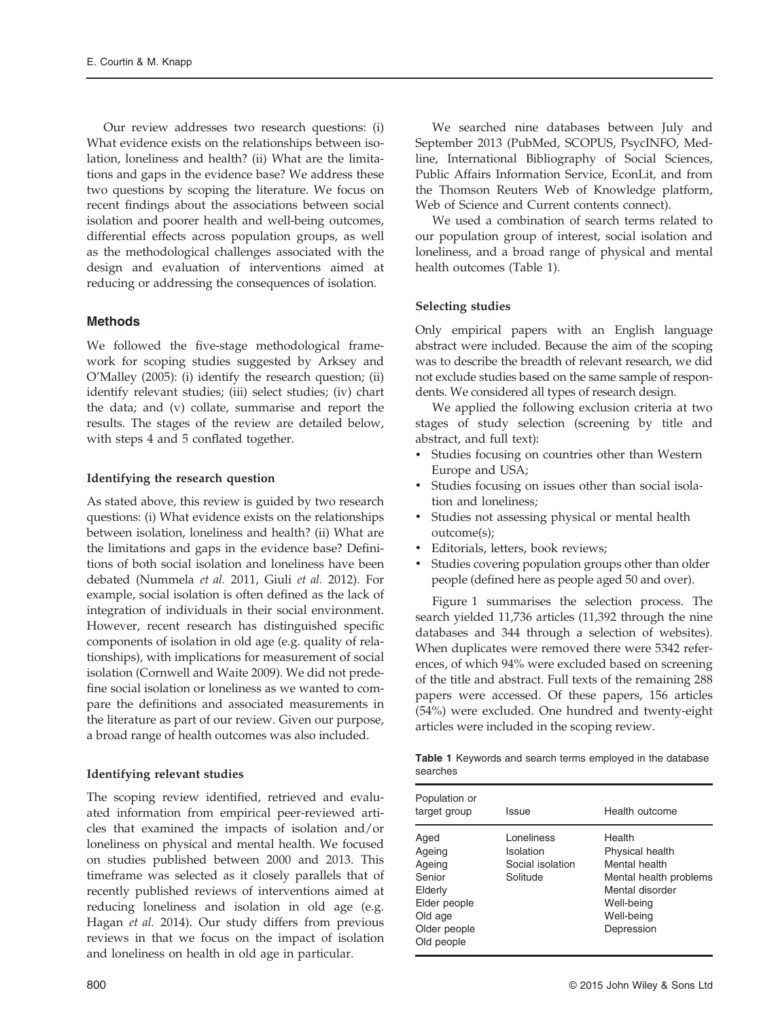Our review addresses two research questions: (i) What evidence exists on the relationships between isolation, loneliness and health? (ii) What are the limitations and gaps in the evidence base? We address these two questions by scoping the literature. We focus on recent findings about the associations between social isolation and poorer health and well-being outcomes, differential effects across population groups, as well as the methodological challenges associated with the design and evaluation of interventions aimed at reducing or addressing the consequences of isolation.

### Methods

We followed the five-stage methodological framework for scoping studies suggested by Arksey and O'Malley (2005): (i) identify the research question; (ii) identify relevant studies; (iii) select studies; (iv) chart the data; and (v) collate, summarise and report the results. The stages of the review are detailed below, with steps 4 and 5 conflated together.

### Identifying the research question

As stated above, this review is guided by two research questions: (i) What evidence exists on the relationships between isolation, loneliness and health? (ii) What are the limitations and gaps in the evidence base? Definitions of both social isolation and loneliness have been debated (Nummela et al. 2011, Giuli et al. 2012). For example, social isolation is often defined as the lack of integration of individuals in their social environment. However, recent research has distinguished specific components of isolation in old age (e.g. quality of relationships), with implications for measurement of social isolation (Cornwell and Waite 2009). We did not predefine social isolation or loneliness as we wanted to compare the definitions and associated measurements in the literature as part of our review. Given our purpose, a broad range of health outcomes was also included.

### Identifying relevant studies

The scoping review identified, retrieved and evaluated information from empirical peer-reviewed articles that examined the impacts of isolation and/or loneliness on physical and mental health. We focused on studies published between 2000 and 2013. This timeframe was selected as it closely parallels that of recently published reviews of interventions aimed at reducing loneliness and isolation in old age (e.g. Hagan et al. 2014). Our study differs from previous reviews in that we focus on the impact of isolation and loneliness on health in old age in particular.

We searched nine databases between July and September 2013 (PubMed, SCOPUS, PsycINFO, Medline, International Bibliography of Social Sciences, Public Affairs Information Service, EconLit, and from the Thomson Reuters Web of Knowledge platform, Web of Science and Current contents connect).

We used a combination of search terms related to our population group of interest, social isolation and loneliness, and a broad range of physical and mental health outcomes (Table 1).

### Selecting studies

Only empirical papers with an English language abstract were included. Because the aim of the scoping was to describe the breadth of relevant research, we did not exclude studies based on the same sample of respondents. We considered all types of research design.

We applied the following exclusion criteria at two stages of study selection (screening by title and abstract, and full text):

- Studies focusing on countries other than Western Europe and USA;
- Studies focusing on issues other than social isolation and loneliness;
- Studies not assessing physical or mental health outcome(s);
- Editorials, letters, book reviews;
- Studies covering population groups other than older people (defined here as people aged 50 and over).

Figure 1 summarises the selection process. The search yielded 11,736 articles (11,392 through the nine databases and 344 through a selection of websites). When duplicates were removed there were 5342 references, of which 94% were excluded based on screening of the title and abstract. Full texts of the remaining 288 papers were accessed. Of these papers, 156 articles (54%) were excluded. One hundred and twenty-eight articles were included in the scoping review.

Table 1 Keywords and search terms employed in the database searches

| Population or<br>target group                                                                          | Issue                                                    | Health outcome                                                                                                                    |
|--------------------------------------------------------------------------------------------------------|----------------------------------------------------------|-----------------------------------------------------------------------------------------------------------------------------------|
| Aged<br>Ageing<br>Ageing<br>Senior<br>Elderly<br>Elder people<br>Old age<br>Older people<br>Old people | I oneliness<br>Isolation<br>Social isolation<br>Solitude | Health<br>Physical health<br>Mental health<br>Mental health problems<br>Mental disorder<br>Well-being<br>Well-being<br>Depression |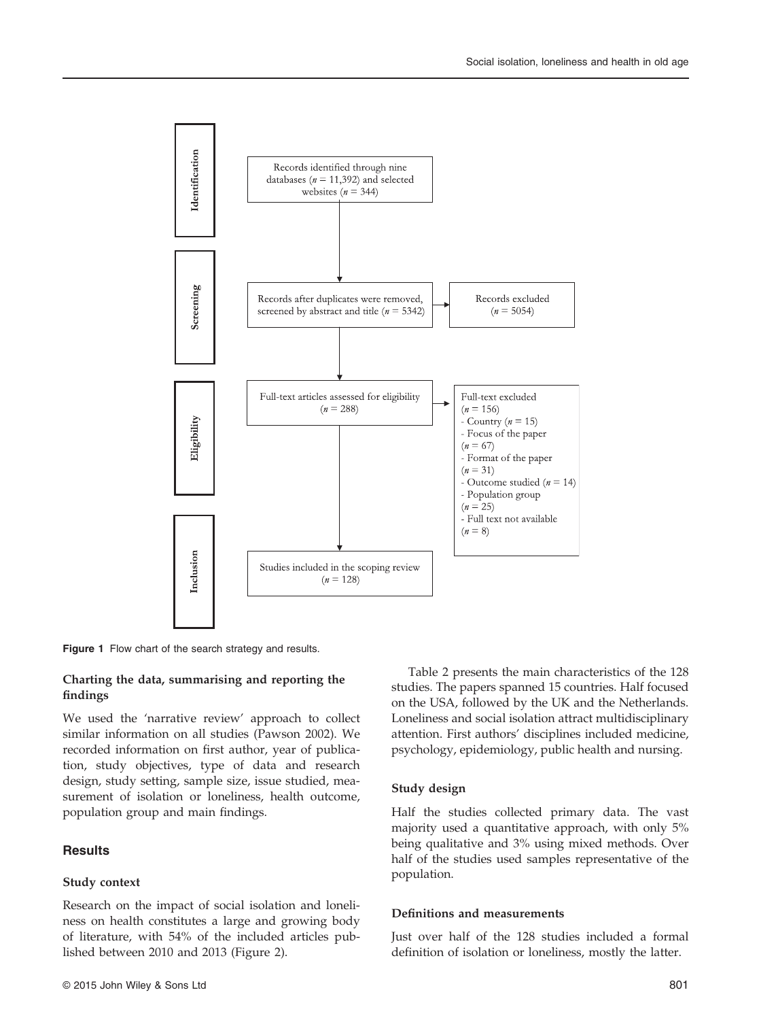

Figure 1 Flow chart of the search strategy and results.

### Charting the data, summarising and reporting the findings

We used the 'narrative review' approach to collect similar information on all studies (Pawson 2002). We recorded information on first author, year of publication, study objectives, type of data and research design, study setting, sample size, issue studied, measurement of isolation or loneliness, health outcome, population group and main findings.

# **Results**

### Study context

Research on the impact of social isolation and loneliness on health constitutes a large and growing body of literature, with 54% of the included articles published between 2010 and 2013 (Figure 2).

Table 2 presents the main characteristics of the 128 studies. The papers spanned 15 countries. Half focused on the USA, followed by the UK and the Netherlands. Loneliness and social isolation attract multidisciplinary attention. First authors' disciplines included medicine, psychology, epidemiology, public health and nursing.

#### Study design

Half the studies collected primary data. The vast majority used a quantitative approach, with only 5% being qualitative and 3% using mixed methods. Over half of the studies used samples representative of the population.

#### Definitions and measurements

Just over half of the 128 studies included a formal definition of isolation or loneliness, mostly the latter.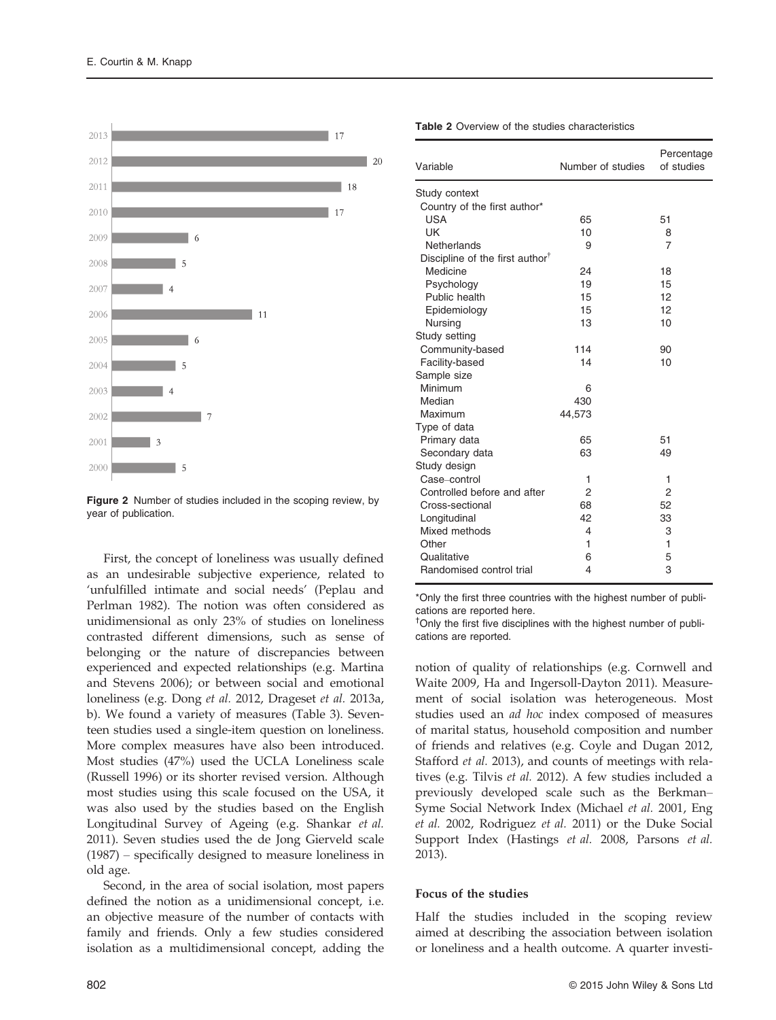

Figure 2 Number of studies included in the scoping review, by year of publication.

First, the concept of loneliness was usually defined as an undesirable subjective experience, related to 'unfulfilled intimate and social needs' (Peplau and Perlman 1982). The notion was often considered as unidimensional as only 23% of studies on loneliness contrasted different dimensions, such as sense of belonging or the nature of discrepancies between experienced and expected relationships (e.g. Martina and Stevens 2006); or between social and emotional loneliness (e.g. Dong et al. 2012, Drageset et al. 2013a, b). We found a variety of measures (Table 3). Seventeen studies used a single-item question on loneliness. More complex measures have also been introduced. Most studies (47%) used the UCLA Loneliness scale (Russell 1996) or its shorter revised version. Although most studies using this scale focused on the USA, it was also used by the studies based on the English Longitudinal Survey of Ageing (e.g. Shankar et al. 2011). Seven studies used the de Jong Gierveld scale (1987) – specifically designed to measure loneliness in old age.

Second, in the area of social isolation, most papers defined the notion as a unidimensional concept, i.e. an objective measure of the number of contacts with family and friends. Only a few studies considered isolation as a multidimensional concept, adding the

| Variable                                    | Number of studies | Percentage<br>of studies |  |  |  |
|---------------------------------------------|-------------------|--------------------------|--|--|--|
| Study context                               |                   |                          |  |  |  |
| Country of the first author*                |                   |                          |  |  |  |
| <b>USA</b>                                  | 65                | 51                       |  |  |  |
| UK                                          | 10                | 8                        |  |  |  |
| Netherlands                                 | 9                 | $\overline{7}$           |  |  |  |
| Discipline of the first author <sup>†</sup> |                   |                          |  |  |  |
| Medicine                                    | 24                | 18                       |  |  |  |
| Psychology                                  | 19                | 15                       |  |  |  |
| Public health                               | 15                | 12                       |  |  |  |
| Epidemiology                                | 15                | 12                       |  |  |  |
| Nursing                                     | 13                | 10                       |  |  |  |
| Study setting                               |                   |                          |  |  |  |
| Community-based                             | 114               | 90                       |  |  |  |
| Facility-based                              | 14                | 10                       |  |  |  |
| Sample size                                 |                   |                          |  |  |  |
| Minimum                                     | 6                 |                          |  |  |  |
| Median                                      | 430               |                          |  |  |  |
| Maximum                                     | 44,573            |                          |  |  |  |
| Type of data                                |                   |                          |  |  |  |
| Primary data                                | 65                | 51                       |  |  |  |
| Secondary data                              | 63                | 49                       |  |  |  |
| Study design                                |                   |                          |  |  |  |
| Case-control                                | 1                 | 1                        |  |  |  |
| Controlled before and after                 | 2                 | 2                        |  |  |  |
| Cross-sectional                             | 68                | 52                       |  |  |  |
| Longitudinal                                | 42                | 33                       |  |  |  |
| Mixed methods                               | 4                 | 3                        |  |  |  |
| Other                                       | 1                 | 1                        |  |  |  |
| Qualitative                                 | 6                 | 5                        |  |  |  |
| Randomised control trial                    | 4                 | 3                        |  |  |  |

Table 2 Overview of the studies characteristics

\*Only the first three countries with the highest number of publications are reported here.

† Only the first five disciplines with the highest number of publications are reported.

notion of quality of relationships (e.g. Cornwell and Waite 2009, Ha and Ingersoll-Dayton 2011). Measurement of social isolation was heterogeneous. Most studies used an ad hoc index composed of measures of marital status, household composition and number of friends and relatives (e.g. Coyle and Dugan 2012, Stafford et al. 2013), and counts of meetings with relatives (e.g. Tilvis et al. 2012). A few studies included a previously developed scale such as the Berkman– Syme Social Network Index (Michael et al. 2001, Eng et al. 2002, Rodriguez et al. 2011) or the Duke Social Support Index (Hastings et al. 2008, Parsons et al. 2013).

#### Focus of the studies

Half the studies included in the scoping review aimed at describing the association between isolation or loneliness and a health outcome. A quarter investi-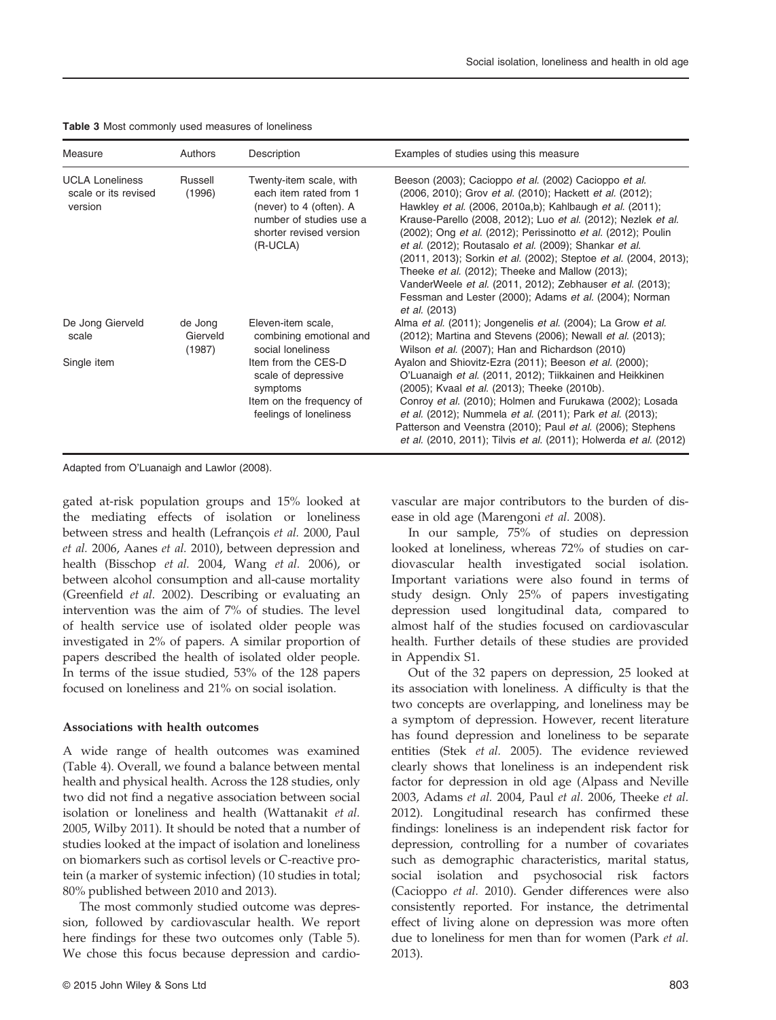| Measure                                                   | Authors                       | Description                                                                                                                                    | Examples of studies using this measure                                                                                                                                                                                                                                                                                                                                                                                                                                                                                                                                                                                                   |
|-----------------------------------------------------------|-------------------------------|------------------------------------------------------------------------------------------------------------------------------------------------|------------------------------------------------------------------------------------------------------------------------------------------------------------------------------------------------------------------------------------------------------------------------------------------------------------------------------------------------------------------------------------------------------------------------------------------------------------------------------------------------------------------------------------------------------------------------------------------------------------------------------------------|
| <b>UCLA Loneliness</b><br>scale or its revised<br>version | Russell<br>(1996)             | Twenty-item scale, with<br>each item rated from 1<br>(never) to 4 (often). A<br>number of studies use a<br>shorter revised version<br>(R-UCLA) | Beeson (2003); Cacioppo et al. (2002) Cacioppo et al.<br>(2006, 2010); Grov et al. (2010); Hackett et al. (2012);<br>Hawkley et al. (2006, 2010a,b); Kahlbaugh et al. (2011);<br>Krause-Parello (2008, 2012); Luo et al. (2012); Nezlek et al.<br>(2002); Ong et al. (2012); Perissinotto et al. (2012); Poulin<br>et al. (2012); Routasalo et al. (2009); Shankar et al.<br>(2011, 2013); Sorkin et al. (2002); Steptoe et al. (2004, 2013);<br>Theeke et al. (2012); Theeke and Mallow (2013);<br>VanderWeele et al. (2011, 2012); Zebhauser et al. (2013);<br>Fessman and Lester (2000); Adams et al. (2004); Norman<br>et al. (2013) |
| De Jong Gierveld<br>scale                                 | de Jong<br>Gierveld<br>(1987) | Eleven-item scale,<br>combining emotional and<br>social loneliness                                                                             | Alma et al. (2011); Jongenelis et al. (2004); La Grow et al.<br>(2012); Martina and Stevens (2006); Newall et al. (2013);<br>Wilson et al. (2007); Han and Richardson (2010)                                                                                                                                                                                                                                                                                                                                                                                                                                                             |
| Single item                                               |                               | Item from the CES-D<br>scale of depressive<br>symptoms<br>Item on the frequency of<br>feelings of loneliness                                   | Ayalon and Shiovitz-Ezra (2011); Beeson et al. (2000);<br>O'Luanaigh et al. (2011, 2012); Tiikkainen and Heikkinen<br>(2005); Kvaal et al. (2013); Theeke (2010b).<br>Conroy et al. (2010); Holmen and Furukawa (2002); Losada<br>et al. (2012); Nummela et al. (2011); Park et al. (2013);<br>Patterson and Veenstra (2010); Paul et al. (2006); Stephens<br>et al. (2010, 2011); Tilvis et al. (2011); Holwerda et al. (2012)                                                                                                                                                                                                          |

Table 3 Most commonly used measures of loneliness

Adapted from O'Luanaigh and Lawlor (2008).

gated at-risk population groups and 15% looked at the mediating effects of isolation or loneliness between stress and health (Lefrançois et al. 2000, Paul et al. 2006, Aanes et al. 2010), between depression and health (Bisschop et al. 2004, Wang et al. 2006), or between alcohol consumption and all-cause mortality (Greenfield et al. 2002). Describing or evaluating an intervention was the aim of 7% of studies. The level of health service use of isolated older people was investigated in 2% of papers. A similar proportion of papers described the health of isolated older people. In terms of the issue studied, 53% of the 128 papers focused on loneliness and 21% on social isolation.

#### Associations with health outcomes

A wide range of health outcomes was examined (Table 4). Overall, we found a balance between mental health and physical health. Across the 128 studies, only two did not find a negative association between social isolation or loneliness and health (Wattanakit et al. 2005, Wilby 2011). It should be noted that a number of studies looked at the impact of isolation and loneliness on biomarkers such as cortisol levels or C-reactive protein (a marker of systemic infection) (10 studies in total; 80% published between 2010 and 2013).

The most commonly studied outcome was depression, followed by cardiovascular health. We report here findings for these two outcomes only (Table 5). We chose this focus because depression and cardiovascular are major contributors to the burden of disease in old age (Marengoni et al. 2008).

In our sample, 75% of studies on depression looked at loneliness, whereas 72% of studies on cardiovascular health investigated social isolation. Important variations were also found in terms of study design. Only 25% of papers investigating depression used longitudinal data, compared to almost half of the studies focused on cardiovascular health. Further details of these studies are provided in Appendix S1.

Out of the 32 papers on depression, 25 looked at its association with loneliness. A difficulty is that the two concepts are overlapping, and loneliness may be a symptom of depression. However, recent literature has found depression and loneliness to be separate entities (Stek et al. 2005). The evidence reviewed clearly shows that loneliness is an independent risk factor for depression in old age (Alpass and Neville 2003, Adams et al. 2004, Paul et al. 2006, Theeke et al. 2012). Longitudinal research has confirmed these findings: loneliness is an independent risk factor for depression, controlling for a number of covariates such as demographic characteristics, marital status, social isolation and psychosocial risk factors (Cacioppo et al. 2010). Gender differences were also consistently reported. For instance, the detrimental effect of living alone on depression was more often due to loneliness for men than for women (Park et al. 2013).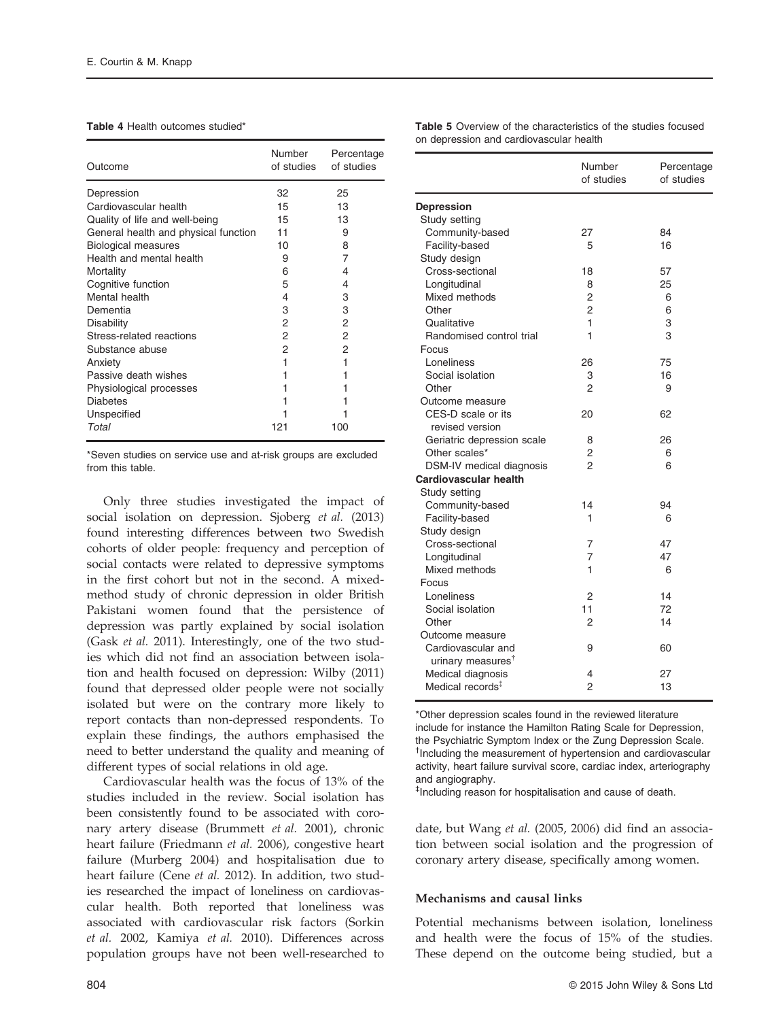#### Table 4 Health outcomes studied<sup>\*</sup>

| Outcome                              | <b>Number</b><br>of studies | Percentage<br>of studies |
|--------------------------------------|-----------------------------|--------------------------|
| Depression                           | 32                          | 25                       |
| Cardiovascular health                | 15                          | 13                       |
| Quality of life and well-being       | 15                          | 13                       |
| General health and physical function | 11                          | 9                        |
| <b>Biological measures</b>           | 10                          | 8                        |
| Health and mental health             | 9                           | 7                        |
| Mortality                            | 6                           | 4                        |
| Cognitive function                   | 5                           | 4                        |
| Mental health                        | 4                           | 3                        |
| Dementia                             | 3                           | З                        |
| <b>Disability</b>                    | 2                           | 2                        |
| Stress-related reactions             | 2                           | 2                        |
| Substance abuse                      | 2                           | 2                        |
| Anxiety                              | 1                           |                          |
| Passive death wishes                 | 1                           |                          |
| Physiological processes              | 1                           |                          |
| <b>Diabetes</b>                      |                             |                          |
| Unspecified                          |                             |                          |
| Total                                | 121                         | 100                      |

\*Seven studies on service use and at-risk groups are excluded from this table.

Only three studies investigated the impact of social isolation on depression. Sjoberg et al. (2013) found interesting differences between two Swedish cohorts of older people: frequency and perception of social contacts were related to depressive symptoms in the first cohort but not in the second. A mixedmethod study of chronic depression in older British Pakistani women found that the persistence of depression was partly explained by social isolation (Gask et al. 2011). Interestingly, one of the two studies which did not find an association between isolation and health focused on depression: Wilby (2011) found that depressed older people were not socially isolated but were on the contrary more likely to report contacts than non-depressed respondents. To explain these findings, the authors emphasised the need to better understand the quality and meaning of different types of social relations in old age.

Cardiovascular health was the focus of 13% of the studies included in the review. Social isolation has been consistently found to be associated with coronary artery disease (Brummett et al. 2001), chronic heart failure (Friedmann et al. 2006), congestive heart failure (Murberg 2004) and hospitalisation due to heart failure (Cene et al. 2012). In addition, two studies researched the impact of loneliness on cardiovascular health. Both reported that loneliness was associated with cardiovascular risk factors (Sorkin et al. 2002, Kamiya et al. 2010). Differences across population groups have not been well-researched to Table 5 Overview of the characteristics of the studies focused on depression and cardiovascular health

|                               | Number<br>of studies | Percentage<br>of studies |
|-------------------------------|----------------------|--------------------------|
| <b>Depression</b>             |                      |                          |
| Study setting                 |                      |                          |
| Community-based               | 27                   | 84                       |
| Facility-based                | 5                    | 16                       |
| Study design                  |                      |                          |
| Cross-sectional               | 18                   | 57                       |
| Longitudinal                  | 8                    | 25                       |
| Mixed methods                 | $\overline{2}$       | 6                        |
| Other                         | $\overline{2}$       | 6                        |
| Qualitative                   | 1                    | 3                        |
| Randomised control trial      | 1                    | 3                        |
| Focus                         |                      |                          |
| Loneliness                    | 26                   | 75                       |
| Social isolation              | 3                    | 16                       |
| Other                         | 2                    | 9                        |
| Outcome measure               |                      |                          |
| CES-D scale or its            | 20                   | 62                       |
| revised version               |                      |                          |
| Geriatric depression scale    | 8                    | 26                       |
| Other scales*                 | 2                    | 6                        |
| DSM-IV medical diagnosis      | 2                    | 6                        |
| Cardiovascular health         |                      |                          |
| Study setting                 |                      |                          |
| Community-based               | 14                   | 94                       |
| Facility-based                | 1                    | 6                        |
| Study design                  |                      |                          |
| Cross-sectional               | 7                    | 47                       |
| Longitudinal                  | 7                    | 47                       |
| Mixed methods                 | 1                    | 6                        |
| Focus                         |                      |                          |
| Loneliness                    | $\overline{2}$       | 14                       |
| Social isolation              | 11                   | 72                       |
| Other                         | $\mathfrak{p}$       | 14                       |
| Outcome measure               |                      |                          |
| Cardiovascular and            | 9                    | 60                       |
| urinary measures <sup>†</sup> |                      |                          |
| Medical diagnosis             | 4                    | 27                       |
| Medical records <sup>‡</sup>  | 2                    | 13                       |
|                               |                      |                          |

\*Other depression scales found in the reviewed literature include for instance the Hamilton Rating Scale for Depression, the Psychiatric Symptom Index or the Zung Depression Scale. † Including the measurement of hypertension and cardiovascular activity, heart failure survival score, cardiac index, arteriography and angiography.

‡ Including reason for hospitalisation and cause of death.

date, but Wang et al. (2005, 2006) did find an association between social isolation and the progression of coronary artery disease, specifically among women.

#### Mechanisms and causal links

Potential mechanisms between isolation, loneliness and health were the focus of 15% of the studies. These depend on the outcome being studied, but a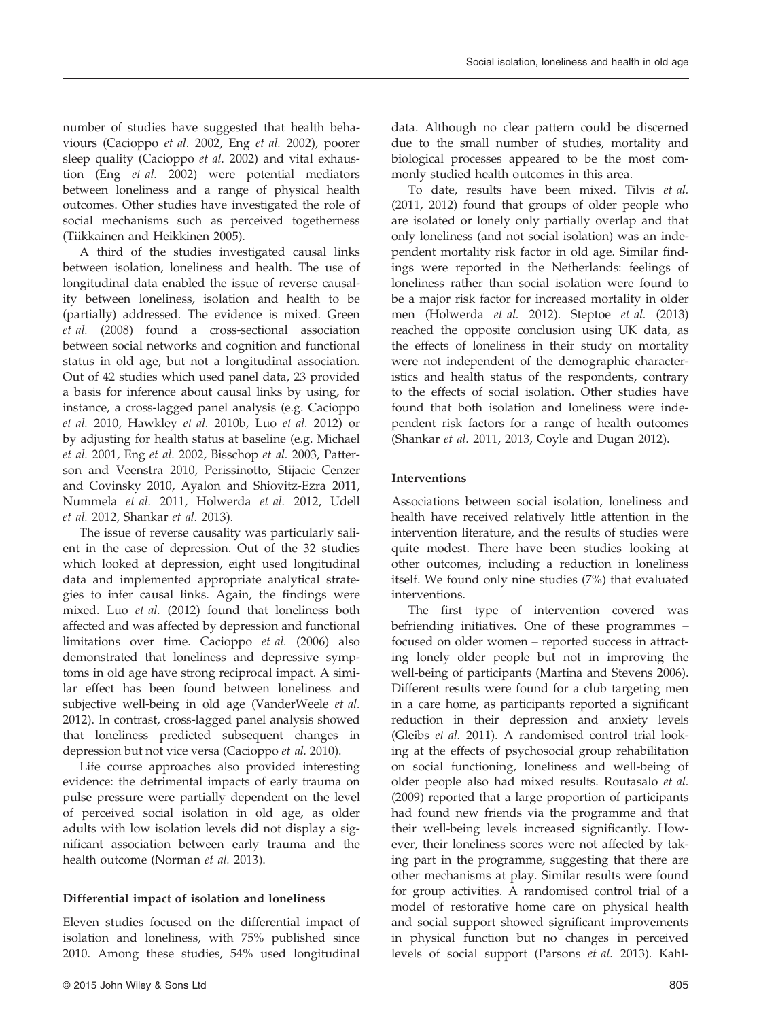number of studies have suggested that health behaviours (Cacioppo et al. 2002, Eng et al. 2002), poorer sleep quality (Cacioppo et al. 2002) and vital exhaustion (Eng et al. 2002) were potential mediators between loneliness and a range of physical health outcomes. Other studies have investigated the role of social mechanisms such as perceived togetherness (Tiikkainen and Heikkinen 2005).

A third of the studies investigated causal links between isolation, loneliness and health. The use of longitudinal data enabled the issue of reverse causality between loneliness, isolation and health to be (partially) addressed. The evidence is mixed. Green et al. (2008) found a cross-sectional association between social networks and cognition and functional status in old age, but not a longitudinal association. Out of 42 studies which used panel data, 23 provided a basis for inference about causal links by using, for instance, a cross-lagged panel analysis (e.g. Cacioppo et al. 2010, Hawkley et al. 2010b, Luo et al. 2012) or by adjusting for health status at baseline (e.g. Michael et al. 2001, Eng et al. 2002, Bisschop et al. 2003, Patterson and Veenstra 2010, Perissinotto, Stijacic Cenzer and Covinsky 2010, Ayalon and Shiovitz-Ezra 2011, Nummela et al. 2011, Holwerda et al. 2012, Udell et al. 2012, Shankar et al. 2013).

The issue of reverse causality was particularly salient in the case of depression. Out of the 32 studies which looked at depression, eight used longitudinal data and implemented appropriate analytical strategies to infer causal links. Again, the findings were mixed. Luo et al. (2012) found that loneliness both affected and was affected by depression and functional limitations over time. Cacioppo et al. (2006) also demonstrated that loneliness and depressive symptoms in old age have strong reciprocal impact. A similar effect has been found between loneliness and subjective well-being in old age (VanderWeele et al. 2012). In contrast, cross-lagged panel analysis showed that loneliness predicted subsequent changes in depression but not vice versa (Cacioppo et al. 2010).

Life course approaches also provided interesting evidence: the detrimental impacts of early trauma on pulse pressure were partially dependent on the level of perceived social isolation in old age, as older adults with low isolation levels did not display a significant association between early trauma and the health outcome (Norman et al. 2013).

### Differential impact of isolation and loneliness

Eleven studies focused on the differential impact of isolation and loneliness, with 75% published since 2010. Among these studies, 54% used longitudinal

data. Although no clear pattern could be discerned due to the small number of studies, mortality and biological processes appeared to be the most commonly studied health outcomes in this area.

To date, results have been mixed. Tilvis et al. (2011, 2012) found that groups of older people who are isolated or lonely only partially overlap and that only loneliness (and not social isolation) was an independent mortality risk factor in old age. Similar findings were reported in the Netherlands: feelings of loneliness rather than social isolation were found to be a major risk factor for increased mortality in older men (Holwerda et al. 2012). Steptoe et al. (2013) reached the opposite conclusion using UK data, as the effects of loneliness in their study on mortality were not independent of the demographic characteristics and health status of the respondents, contrary to the effects of social isolation. Other studies have found that both isolation and loneliness were independent risk factors for a range of health outcomes (Shankar et al. 2011, 2013, Coyle and Dugan 2012).

### Interventions

Associations between social isolation, loneliness and health have received relatively little attention in the intervention literature, and the results of studies were quite modest. There have been studies looking at other outcomes, including a reduction in loneliness itself. We found only nine studies (7%) that evaluated interventions.

The first type of intervention covered was befriending initiatives. One of these programmes – focused on older women – reported success in attracting lonely older people but not in improving the well-being of participants (Martina and Stevens 2006). Different results were found for a club targeting men in a care home, as participants reported a significant reduction in their depression and anxiety levels (Gleibs et al. 2011). A randomised control trial looking at the effects of psychosocial group rehabilitation on social functioning, loneliness and well-being of older people also had mixed results. Routasalo et al. (2009) reported that a large proportion of participants had found new friends via the programme and that their well-being levels increased significantly. However, their loneliness scores were not affected by taking part in the programme, suggesting that there are other mechanisms at play. Similar results were found for group activities. A randomised control trial of a model of restorative home care on physical health and social support showed significant improvements in physical function but no changes in perceived levels of social support (Parsons et al. 2013). Kahl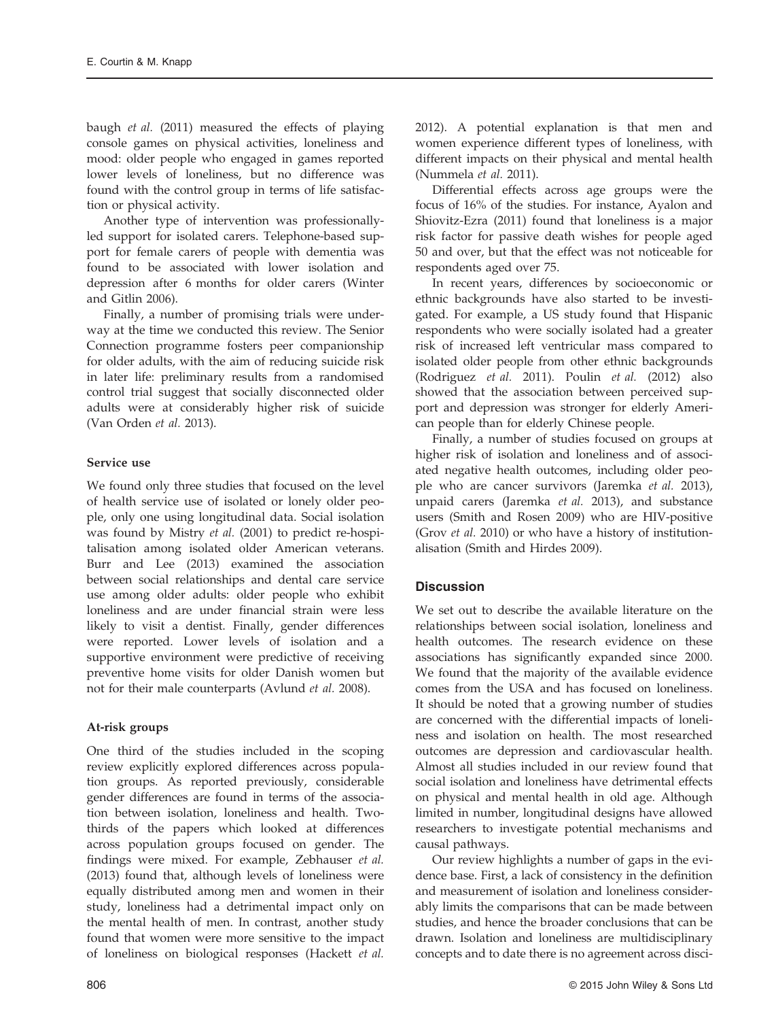baugh et al. (2011) measured the effects of playing console games on physical activities, loneliness and mood: older people who engaged in games reported lower levels of loneliness, but no difference was found with the control group in terms of life satisfaction or physical activity.

Another type of intervention was professionallyled support for isolated carers. Telephone-based support for female carers of people with dementia was found to be associated with lower isolation and depression after 6 months for older carers (Winter and Gitlin 2006).

Finally, a number of promising trials were underway at the time we conducted this review. The Senior Connection programme fosters peer companionship for older adults, with the aim of reducing suicide risk in later life: preliminary results from a randomised control trial suggest that socially disconnected older adults were at considerably higher risk of suicide (Van Orden et al. 2013).

# Service use

We found only three studies that focused on the level of health service use of isolated or lonely older people, only one using longitudinal data. Social isolation was found by Mistry et al. (2001) to predict re-hospitalisation among isolated older American veterans. Burr and Lee (2013) examined the association between social relationships and dental care service use among older adults: older people who exhibit loneliness and are under financial strain were less likely to visit a dentist. Finally, gender differences were reported. Lower levels of isolation and a supportive environment were predictive of receiving preventive home visits for older Danish women but not for their male counterparts (Avlund et al. 2008).

# At-risk groups

One third of the studies included in the scoping review explicitly explored differences across population groups. As reported previously, considerable gender differences are found in terms of the association between isolation, loneliness and health. Twothirds of the papers which looked at differences across population groups focused on gender. The findings were mixed. For example, Zebhauser et al. (2013) found that, although levels of loneliness were equally distributed among men and women in their study, loneliness had a detrimental impact only on the mental health of men. In contrast, another study found that women were more sensitive to the impact of loneliness on biological responses (Hackett et al. 2012). A potential explanation is that men and women experience different types of loneliness, with different impacts on their physical and mental health (Nummela et al. 2011).

Differential effects across age groups were the focus of 16% of the studies. For instance, Ayalon and Shiovitz-Ezra (2011) found that loneliness is a major risk factor for passive death wishes for people aged 50 and over, but that the effect was not noticeable for respondents aged over 75.

In recent years, differences by socioeconomic or ethnic backgrounds have also started to be investigated. For example, a US study found that Hispanic respondents who were socially isolated had a greater risk of increased left ventricular mass compared to isolated older people from other ethnic backgrounds (Rodriguez et al. 2011). Poulin et al. (2012) also showed that the association between perceived support and depression was stronger for elderly American people than for elderly Chinese people.

Finally, a number of studies focused on groups at higher risk of isolation and loneliness and of associated negative health outcomes, including older people who are cancer survivors (Jaremka et al. 2013), unpaid carers (Jaremka et al. 2013), and substance users (Smith and Rosen 2009) who are HIV-positive (Grov et al. 2010) or who have a history of institutionalisation (Smith and Hirdes 2009).

# **Discussion**

We set out to describe the available literature on the relationships between social isolation, loneliness and health outcomes. The research evidence on these associations has significantly expanded since 2000. We found that the majority of the available evidence comes from the USA and has focused on loneliness. It should be noted that a growing number of studies are concerned with the differential impacts of loneliness and isolation on health. The most researched outcomes are depression and cardiovascular health. Almost all studies included in our review found that social isolation and loneliness have detrimental effects on physical and mental health in old age. Although limited in number, longitudinal designs have allowed researchers to investigate potential mechanisms and causal pathways.

Our review highlights a number of gaps in the evidence base. First, a lack of consistency in the definition and measurement of isolation and loneliness considerably limits the comparisons that can be made between studies, and hence the broader conclusions that can be drawn. Isolation and loneliness are multidisciplinary concepts and to date there is no agreement across disci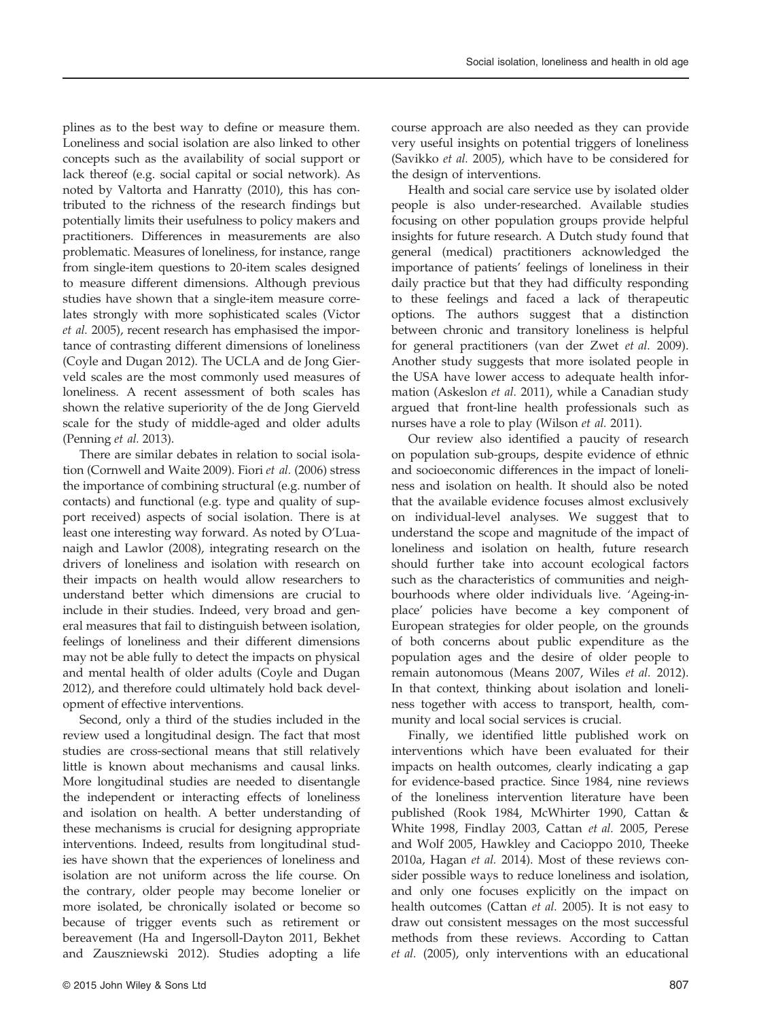lack thereof (e.g. social capital or social network). As noted by Valtorta and Hanratty (2010), this has contributed to the richness of the research findings but potentially limits their usefulness to policy makers and practitioners. Differences in measurements are also problematic. Measures of loneliness, for instance, range from single-item questions to 20-item scales designed to measure different dimensions. Although previous studies have shown that a single-item measure correlates strongly with more sophisticated scales (Victor et al. 2005), recent research has emphasised the importance of contrasting different dimensions of loneliness (Coyle and Dugan 2012). The UCLA and de Jong Gierveld scales are the most commonly used measures of loneliness. A recent assessment of both scales has shown the relative superiority of the de Jong Gierveld scale for the study of middle-aged and older adults (Penning et al. 2013). There are similar debates in relation to social isolation (Cornwell and Waite 2009). Fiori et al. (2006) stress the importance of combining structural (e.g. number of

plines as to the best way to define or measure them. Loneliness and social isolation are also linked to other concepts such as the availability of social support or

contacts) and functional (e.g. type and quality of support received) aspects of social isolation. There is at least one interesting way forward. As noted by O'Luanaigh and Lawlor (2008), integrating research on the drivers of loneliness and isolation with research on their impacts on health would allow researchers to understand better which dimensions are crucial to include in their studies. Indeed, very broad and general measures that fail to distinguish between isolation, feelings of loneliness and their different dimensions may not be able fully to detect the impacts on physical and mental health of older adults (Coyle and Dugan 2012), and therefore could ultimately hold back development of effective interventions.

Second, only a third of the studies included in the review used a longitudinal design. The fact that most studies are cross-sectional means that still relatively little is known about mechanisms and causal links. More longitudinal studies are needed to disentangle the independent or interacting effects of loneliness and isolation on health. A better understanding of these mechanisms is crucial for designing appropriate interventions. Indeed, results from longitudinal studies have shown that the experiences of loneliness and isolation are not uniform across the life course. On the contrary, older people may become lonelier or more isolated, be chronically isolated or become so because of trigger events such as retirement or bereavement (Ha and Ingersoll-Dayton 2011, Bekhet and Zauszniewski 2012). Studies adopting a life course approach are also needed as they can provide very useful insights on potential triggers of loneliness (Savikko et al. 2005), which have to be considered for the design of interventions.

Health and social care service use by isolated older people is also under-researched. Available studies focusing on other population groups provide helpful insights for future research. A Dutch study found that general (medical) practitioners acknowledged the importance of patients' feelings of loneliness in their daily practice but that they had difficulty responding to these feelings and faced a lack of therapeutic options. The authors suggest that a distinction between chronic and transitory loneliness is helpful for general practitioners (van der Zwet et al. 2009). Another study suggests that more isolated people in the USA have lower access to adequate health information (Askeslon et al. 2011), while a Canadian study argued that front-line health professionals such as nurses have a role to play (Wilson et al. 2011).

Our review also identified a paucity of research on population sub-groups, despite evidence of ethnic and socioeconomic differences in the impact of loneliness and isolation on health. It should also be noted that the available evidence focuses almost exclusively on individual-level analyses. We suggest that to understand the scope and magnitude of the impact of loneliness and isolation on health, future research should further take into account ecological factors such as the characteristics of communities and neighbourhoods where older individuals live. 'Ageing-inplace' policies have become a key component of European strategies for older people, on the grounds of both concerns about public expenditure as the population ages and the desire of older people to remain autonomous (Means 2007, Wiles et al. 2012). In that context, thinking about isolation and loneliness together with access to transport, health, community and local social services is crucial.

Finally, we identified little published work on interventions which have been evaluated for their impacts on health outcomes, clearly indicating a gap for evidence-based practice. Since 1984, nine reviews of the loneliness intervention literature have been published (Rook 1984, McWhirter 1990, Cattan & White 1998, Findlay 2003, Cattan et al. 2005, Perese and Wolf 2005, Hawkley and Cacioppo 2010, Theeke 2010a, Hagan et al. 2014). Most of these reviews consider possible ways to reduce loneliness and isolation, and only one focuses explicitly on the impact on health outcomes (Cattan et al. 2005). It is not easy to draw out consistent messages on the most successful methods from these reviews. According to Cattan et al. (2005), only interventions with an educational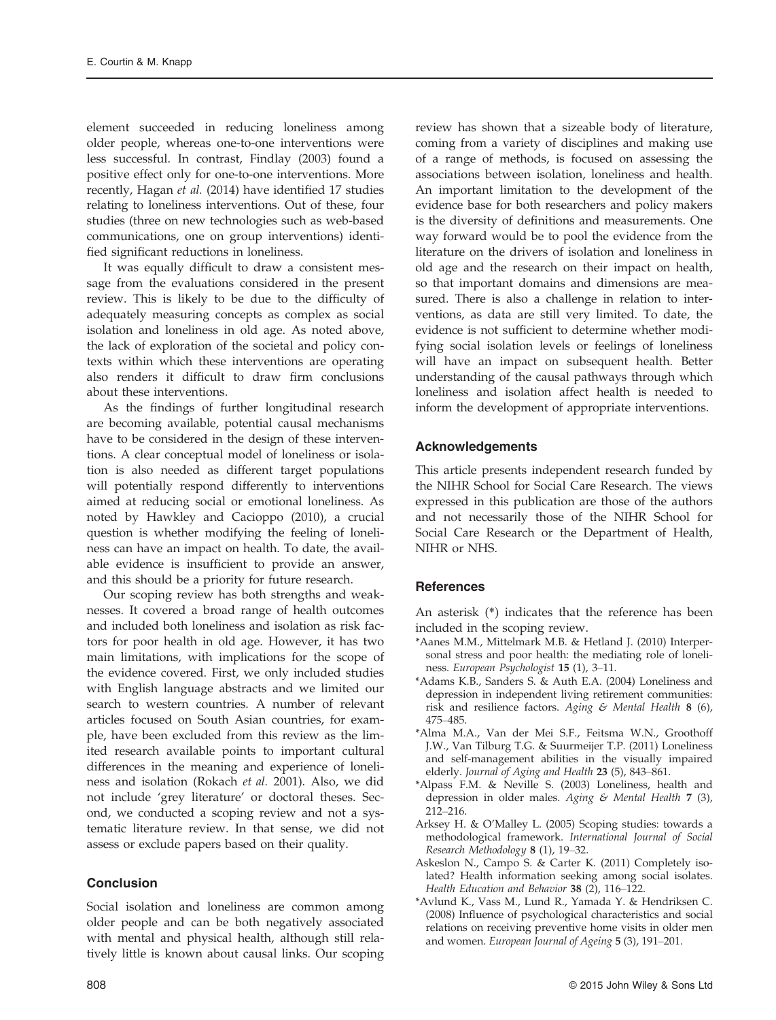element succeeded in reducing loneliness among older people, whereas one-to-one interventions were less successful. In contrast, Findlay (2003) found a positive effect only for one-to-one interventions. More recently, Hagan et al. (2014) have identified 17 studies relating to loneliness interventions. Out of these, four studies (three on new technologies such as web-based communications, one on group interventions) identified significant reductions in loneliness.

It was equally difficult to draw a consistent message from the evaluations considered in the present review. This is likely to be due to the difficulty of adequately measuring concepts as complex as social isolation and loneliness in old age. As noted above, the lack of exploration of the societal and policy contexts within which these interventions are operating also renders it difficult to draw firm conclusions about these interventions.

As the findings of further longitudinal research are becoming available, potential causal mechanisms have to be considered in the design of these interventions. A clear conceptual model of loneliness or isolation is also needed as different target populations will potentially respond differently to interventions aimed at reducing social or emotional loneliness. As noted by Hawkley and Cacioppo (2010), a crucial question is whether modifying the feeling of loneliness can have an impact on health. To date, the available evidence is insufficient to provide an answer, and this should be a priority for future research.

Our scoping review has both strengths and weaknesses. It covered a broad range of health outcomes and included both loneliness and isolation as risk factors for poor health in old age. However, it has two main limitations, with implications for the scope of the evidence covered. First, we only included studies with English language abstracts and we limited our search to western countries. A number of relevant articles focused on South Asian countries, for example, have been excluded from this review as the limited research available points to important cultural differences in the meaning and experience of loneliness and isolation (Rokach et al. 2001). Also, we did not include 'grey literature' or doctoral theses. Second, we conducted a scoping review and not a systematic literature review. In that sense, we did not assess or exclude papers based on their quality.

# Conclusion

Social isolation and loneliness are common among older people and can be both negatively associated with mental and physical health, although still relatively little is known about causal links. Our scoping

review has shown that a sizeable body of literature, coming from a variety of disciplines and making use of a range of methods, is focused on assessing the associations between isolation, loneliness and health. An important limitation to the development of the evidence base for both researchers and policy makers is the diversity of definitions and measurements. One way forward would be to pool the evidence from the literature on the drivers of isolation and loneliness in old age and the research on their impact on health, so that important domains and dimensions are measured. There is also a challenge in relation to interventions, as data are still very limited. To date, the evidence is not sufficient to determine whether modifying social isolation levels or feelings of loneliness will have an impact on subsequent health. Better understanding of the causal pathways through which loneliness and isolation affect health is needed to inform the development of appropriate interventions.

# Acknowledgements

This article presents independent research funded by the NIHR School for Social Care Research. The views expressed in this publication are those of the authors and not necessarily those of the NIHR School for Social Care Research or the Department of Health, NIHR or NHS.

# **References**

An asterisk (\*) indicates that the reference has been included in the scoping review.

- \*Aanes M.M., Mittelmark M.B. & Hetland J. (2010) Interpersonal stress and poor health: the mediating role of loneliness. European Psychologist 15 (1), 3–11.
- \*Adams K.B., Sanders S. & Auth E.A. (2004) Loneliness and depression in independent living retirement communities: risk and resilience factors. Aging & Mental Health  $8$  (6), 475–485.
- \*Alma M.A., Van der Mei S.F., Feitsma W.N., Groothoff J.W., Van Tilburg T.G. & Suurmeijer T.P. (2011) Loneliness and self-management abilities in the visually impaired elderly. Journal of Aging and Health 23 (5), 843–861.
- \*Alpass F.M. & Neville S. (2003) Loneliness, health and depression in older males. Aging & Mental Health 7 (3), 212–216.
- Arksey H. & O'Malley L. (2005) Scoping studies: towards a methodological framework. International Journal of Social Research Methodology 8 (1), 19–32.
- Askeslon N., Campo S. & Carter K. (2011) Completely isolated? Health information seeking among social isolates. Health Education and Behavior 38 (2), 116–122.
- \*Avlund K., Vass M., Lund R., Yamada Y. & Hendriksen C. (2008) Influence of psychological characteristics and social relations on receiving preventive home visits in older men and women. European Journal of Ageing 5 (3), 191–201.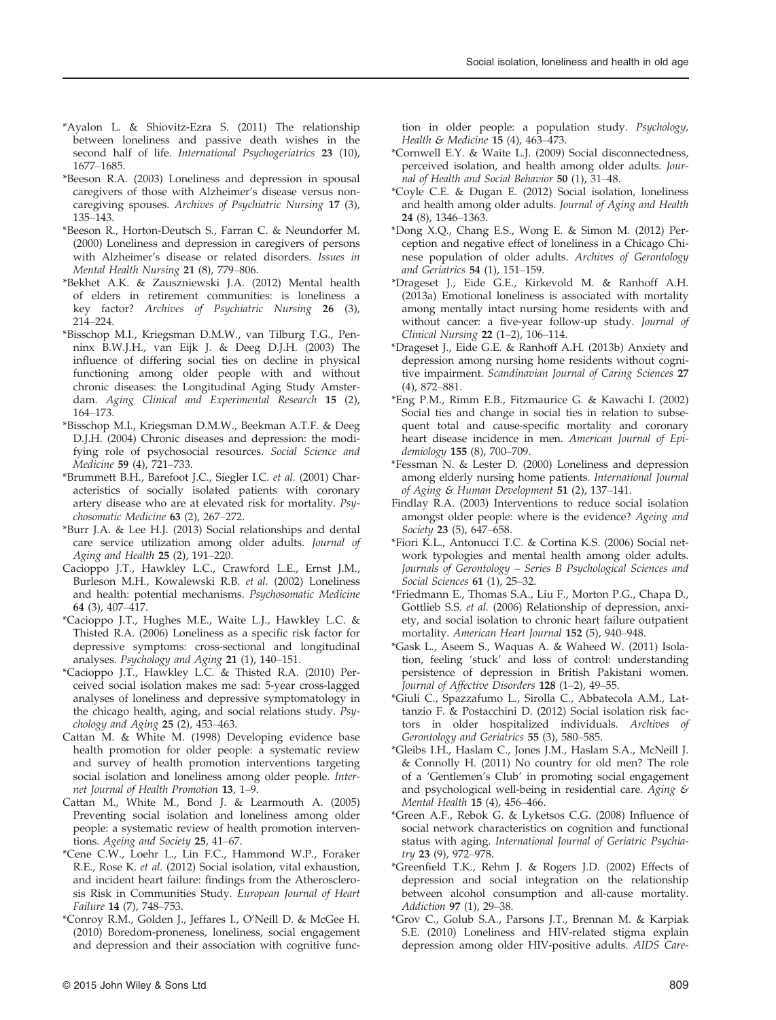- \*Ayalon L. & Shiovitz-Ezra S. (2011) The relationship between loneliness and passive death wishes in the second half of life. International Psychogeriatrics 23 (10), 1677–1685.
- \*Beeson R.A. (2003) Loneliness and depression in spousal caregivers of those with Alzheimer's disease versus noncaregiving spouses. Archives of Psychiatric Nursing 17 (3), 135–143.
- \*Beeson R., Horton-Deutsch S., Farran C. & Neundorfer M. (2000) Loneliness and depression in caregivers of persons with Alzheimer's disease or related disorders. Issues in Mental Health Nursing 21 (8), 779–806.
- \*Bekhet A.K. & Zauszniewski J.A. (2012) Mental health of elders in retirement communities: is loneliness a key factor? Archives of Psychiatric Nursing 26 (3), 214–224.
- \*Bisschop M.I., Kriegsman D.M.W., van Tilburg T.G., Penninx B.W.J.H., van Eijk J. & Deeg D.J.H. (2003) The influence of differing social ties on decline in physical functioning among older people with and without chronic diseases: the Longitudinal Aging Study Amsterdam. Aging Clinical and Experimental Research 15 (2), 164–173.
- \*Bisschop M.I., Kriegsman D.M.W., Beekman A.T.F. & Deeg D.J.H. (2004) Chronic diseases and depression: the modifying role of psychosocial resources. Social Science and Medicine 59 (4), 721–733.
- \*Brummett B.H., Barefoot J.C., Siegler I.C. et al. (2001) Characteristics of socially isolated patients with coronary artery disease who are at elevated risk for mortality. Psychosomatic Medicine 63 (2), 267–272.
- \*Burr J.A. & Lee H.J. (2013) Social relationships and dental care service utilization among older adults. Journal of Aging and Health 25 (2), 191–220.
- Cacioppo J.T., Hawkley L.C., Crawford L.E., Ernst J.M., Burleson M.H., Kowalewski R.B. et al. (2002) Loneliness and health: potential mechanisms. Psychosomatic Medicine 64 (3), 407–417.
- \*Cacioppo J.T., Hughes M.E., Waite L.J., Hawkley L.C. & Thisted R.A. (2006) Loneliness as a specific risk factor for depressive symptoms: cross-sectional and longitudinal analyses. Psychology and Aging 21 (1), 140–151.
- \*Cacioppo J.T., Hawkley L.C. & Thisted R.A. (2010) Perceived social isolation makes me sad: 5-year cross-lagged analyses of loneliness and depressive symptomatology in the chicago health, aging, and social relations study. Psychology and Aging 25 (2), 453–463.
- Cattan M. & White M. (1998) Developing evidence base health promotion for older people: a systematic review and survey of health promotion interventions targeting social isolation and loneliness among older people. Internet Journal of Health Promotion 13, 1–9.
- Cattan M., White M., Bond J. & Learmouth A. (2005) Preventing social isolation and loneliness among older people: a systematic review of health promotion interventions. Ageing and Society 25, 41–67.
- \*Cene C.W., Loehr L., Lin F.C., Hammond W.P., Foraker R.E., Rose K. et al. (2012) Social isolation, vital exhaustion, and incident heart failure: findings from the Atherosclerosis Risk in Communities Study. European Journal of Heart Failure 14 (7), 748–753.
- \*Conroy R.M., Golden J., Jeffares I., O'Neill D. & McGee H. (2010) Boredom-proneness, loneliness, social engagement and depression and their association with cognitive func-

tion in older people: a population study. Psychology, Health & Medicine 15 (4), 463–473.

- \*Cornwell E.Y. & Waite L.J. (2009) Social disconnectedness, perceived isolation, and health among older adults. Journal of Health and Social Behavior 50 (1), 31–48.
- \*Coyle C.E. & Dugan E. (2012) Social isolation, loneliness and health among older adults. Journal of Aging and Health 24 (8), 1346–1363.
- \*Dong X.Q., Chang E.S., Wong E. & Simon M. (2012) Perception and negative effect of loneliness in a Chicago Chinese population of older adults. Archives of Gerontology and Geriatrics 54 (1), 151–159.
- \*Drageset J., Eide G.E., Kirkevold M. & Ranhoff A.H. (2013a) Emotional loneliness is associated with mortality among mentally intact nursing home residents with and without cancer: a five-year follow-up study. Journal of Clinical Nursing 22 (1–2), 106–114.
- \*Drageset J., Eide G.E. & Ranhoff A.H. (2013b) Anxiety and depression among nursing home residents without cognitive impairment. Scandinavian Journal of Caring Sciences 27 (4), 872–881.
- \*Eng P.M., Rimm E.B., Fitzmaurice G. & Kawachi I. (2002) Social ties and change in social ties in relation to subsequent total and cause-specific mortality and coronary heart disease incidence in men. American Journal of Epidemiology 155 (8), 700–709.
- \*Fessman N. & Lester D. (2000) Loneliness and depression among elderly nursing home patients. International Journal of Aging & Human Development 51 (2), 137-141.
- Findlay R.A. (2003) Interventions to reduce social isolation amongst older people: where is the evidence? Ageing and Society 23 (5), 647–658.
- \*Fiori K.L., Antonucci T.C. & Cortina K.S. (2006) Social network typologies and mental health among older adults. Journals of Gerontology – Series B Psychological Sciences and Social Sciences 61 (1), 25–32.
- \*Friedmann E., Thomas S.A., Liu F., Morton P.G., Chapa D., Gottlieb S.S. et al. (2006) Relationship of depression, anxiety, and social isolation to chronic heart failure outpatient mortality. American Heart Journal 152 (5), 940–948.
- \*Gask L., Aseem S., Waquas A. & Waheed W. (2011) Isolation, feeling 'stuck' and loss of control: understanding persistence of depression in British Pakistani women. Journal of Affective Disorders 128 (1–2), 49–55.
- \*Giuli C., Spazzafumo L., Sirolla C., Abbatecola A.M., Lattanzio F. & Postacchini D. (2012) Social isolation risk factors in older hospitalized individuals. Archives of Gerontology and Geriatrics 55 (3), 580–585.
- \*Gleibs I.H., Haslam C., Jones J.M., Haslam S.A., McNeill J. & Connolly H. (2011) No country for old men? The role of a 'Gentlemen's Club' in promoting social engagement and psychological well-being in residential care. Aging  $\mathcal E$ Mental Health 15 (4), 456–466.
- \*Green A.F., Rebok G. & Lyketsos C.G. (2008) Influence of social network characteristics on cognition and functional status with aging. International Journal of Geriatric Psychiatry 23 (9), 972–978.
- \*Greenfield T.K., Rehm J. & Rogers J.D. (2002) Effects of depression and social integration on the relationship between alcohol consumption and all-cause mortality. Addiction 97 (1), 29–38.
- \*Grov C., Golub S.A., Parsons J.T., Brennan M. & Karpiak S.E. (2010) Loneliness and HIV-related stigma explain depression among older HIV-positive adults. AIDS Care-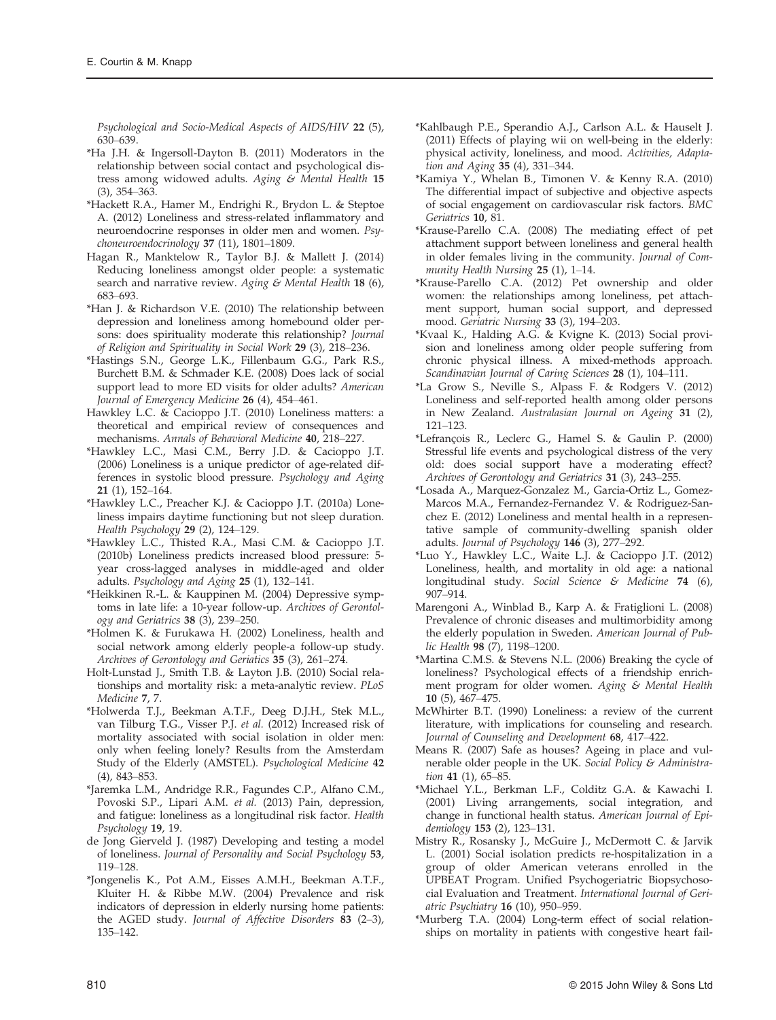Psychological and Socio-Medical Aspects of AIDS/HIV 22 (5), 630–639.

- \*Ha J.H. & Ingersoll-Dayton B. (2011) Moderators in the relationship between social contact and psychological distress among widowed adults. Aging & Mental Health 15 (3), 354–363.
- \*Hackett R.A., Hamer M., Endrighi R., Brydon L. & Steptoe A. (2012) Loneliness and stress-related inflammatory and neuroendocrine responses in older men and women. Psychoneuroendocrinology 37 (11), 1801–1809.
- Hagan R., Manktelow R., Taylor B.J. & Mallett J. (2014) Reducing loneliness amongst older people: a systematic search and narrative review. Aging  $\mathcal G$  Mental Health 18 (6), 683–693.
- \*Han J. & Richardson V.E. (2010) The relationship between depression and loneliness among homebound older persons: does spirituality moderate this relationship? Journal of Religion and Spirituality in Social Work 29 (3), 218–236.
- \*Hastings S.N., George L.K., Fillenbaum G.G., Park R.S., Burchett B.M. & Schmader K.E. (2008) Does lack of social support lead to more ED visits for older adults? American Journal of Emergency Medicine 26 (4), 454–461.
- Hawkley L.C. & Cacioppo J.T. (2010) Loneliness matters: a theoretical and empirical review of consequences and mechanisms. Annals of Behavioral Medicine 40, 218–227.
- \*Hawkley L.C., Masi C.M., Berry J.D. & Cacioppo J.T. (2006) Loneliness is a unique predictor of age-related differences in systolic blood pressure. Psychology and Aging 21 (1), 152–164.
- \*Hawkley L.C., Preacher K.J. & Cacioppo J.T. (2010a) Loneliness impairs daytime functioning but not sleep duration. Health Psychology 29 (2), 124–129.
- \*Hawkley L.C., Thisted R.A., Masi C.M. & Cacioppo J.T. (2010b) Loneliness predicts increased blood pressure: 5 year cross-lagged analyses in middle-aged and older adults. Psychology and Aging 25 (1), 132–141.
- \*Heikkinen R.-L. & Kauppinen M. (2004) Depressive symptoms in late life: a 10-year follow-up. Archives of Gerontology and Geriatrics 38 (3), 239–250.
- \*Holmen K. & Furukawa H. (2002) Loneliness, health and social network among elderly people-a follow-up study. Archives of Gerontology and Geriatics 35 (3), 261–274.
- Holt-Lunstad J., Smith T.B. & Layton J.B. (2010) Social relationships and mortality risk: a meta-analytic review. PLoS Medicine 7, 7.
- \*Holwerda T.J., Beekman A.T.F., Deeg D.J.H., Stek M.L., van Tilburg T.G., Visser P.J. et al. (2012) Increased risk of mortality associated with social isolation in older men: only when feeling lonely? Results from the Amsterdam Study of the Elderly (AMSTEL). Psychological Medicine 42 (4), 843–853.
- \*Jaremka L.M., Andridge R.R., Fagundes C.P., Alfano C.M., Povoski S.P., Lipari A.M. et al. (2013) Pain, depression, and fatigue: loneliness as a longitudinal risk factor. Health Psychology 19, 19.
- de Jong Gierveld J. (1987) Developing and testing a model of loneliness. Journal of Personality and Social Psychology 53, 119–128.
- \*Jongenelis K., Pot A.M., Eisses A.M.H., Beekman A.T.F., Kluiter H. & Ribbe M.W. (2004) Prevalence and risk indicators of depression in elderly nursing home patients: the AGED study. Journal of Affective Disorders 83 (2–3), 135–142.
- \*Kahlbaugh P.E., Sperandio A.J., Carlson A.L. & Hauselt J. (2011) Effects of playing wii on well-being in the elderly: physical activity, loneliness, and mood. Activities, Adaptation and Aging 35 (4), 331–344.
- \*Kamiya Y., Whelan B., Timonen V. & Kenny R.A. (2010) The differential impact of subjective and objective aspects of social engagement on cardiovascular risk factors. BMC Geriatrics 10, 81.
- \*Krause-Parello C.A. (2008) The mediating effect of pet attachment support between loneliness and general health in older females living in the community. Journal of Community Health Nursing 25 (1), 1–14.
- \*Krause-Parello C.A. (2012) Pet ownership and older women: the relationships among loneliness, pet attachment support, human social support, and depressed mood. Geriatric Nursing 33 (3), 194–203.
- \*Kvaal K., Halding A.G. & Kvigne K. (2013) Social provision and loneliness among older people suffering from chronic physical illness. A mixed-methods approach. Scandinavian Journal of Caring Sciences 28 (1), 104-111.
- \*La Grow S., Neville S., Alpass F. & Rodgers V. (2012) Loneliness and self-reported health among older persons in New Zealand. Australasian Journal on Ageing 31 (2), 121–123.
- \*Lefrancois R., Leclerc G., Hamel S. & Gaulin P. (2000) Stressful life events and psychological distress of the very old: does social support have a moderating effect? Archives of Gerontology and Geriatrics 31 (3), 243–255.
- \*Losada A., Marquez-Gonzalez M., Garcia-Ortiz L., Gomez-Marcos M.A., Fernandez-Fernandez V. & Rodriguez-Sanchez E. (2012) Loneliness and mental health in a representative sample of community-dwelling spanish older adults. Journal of Psychology 146 (3), 277–292.
- \*Luo Y., Hawkley L.C., Waite L.J. & Cacioppo J.T. (2012) Loneliness, health, and mortality in old age: a national longitudinal study. Social Science & Medicine 74 (6), 907–914.
- Marengoni A., Winblad B., Karp A. & Fratiglioni L. (2008) Prevalence of chronic diseases and multimorbidity among the elderly population in Sweden. American Journal of Public Health  $98(7)$ , 1198-1200.
- \*Martina C.M.S. & Stevens N.L. (2006) Breaking the cycle of loneliness? Psychological effects of a friendship enrichment program for older women. Aging & Mental Health 10 (5), 467–475.
- McWhirter B.T. (1990) Loneliness: a review of the current literature, with implications for counseling and research. Journal of Counseling and Development 68, 417–422.
- Means R. (2007) Safe as houses? Ageing in place and vulnerable older people in the UK. Social Policy & Administration 41 (1), 65-85.
- \*Michael Y.L., Berkman L.F., Colditz G.A. & Kawachi I. (2001) Living arrangements, social integration, and change in functional health status. American Journal of Epidemiology 153 (2), 123–131.
- Mistry R., Rosansky J., McGuire J., McDermott C. & Jarvik L. (2001) Social isolation predicts re-hospitalization in a group of older American veterans enrolled in the UPBEAT Program. Unified Psychogeriatric Biopsychosocial Evaluation and Treatment. International Journal of Geriatric Psychiatry 16 (10), 950–959.
- \*Murberg T.A. (2004) Long-term effect of social relationships on mortality in patients with congestive heart fail-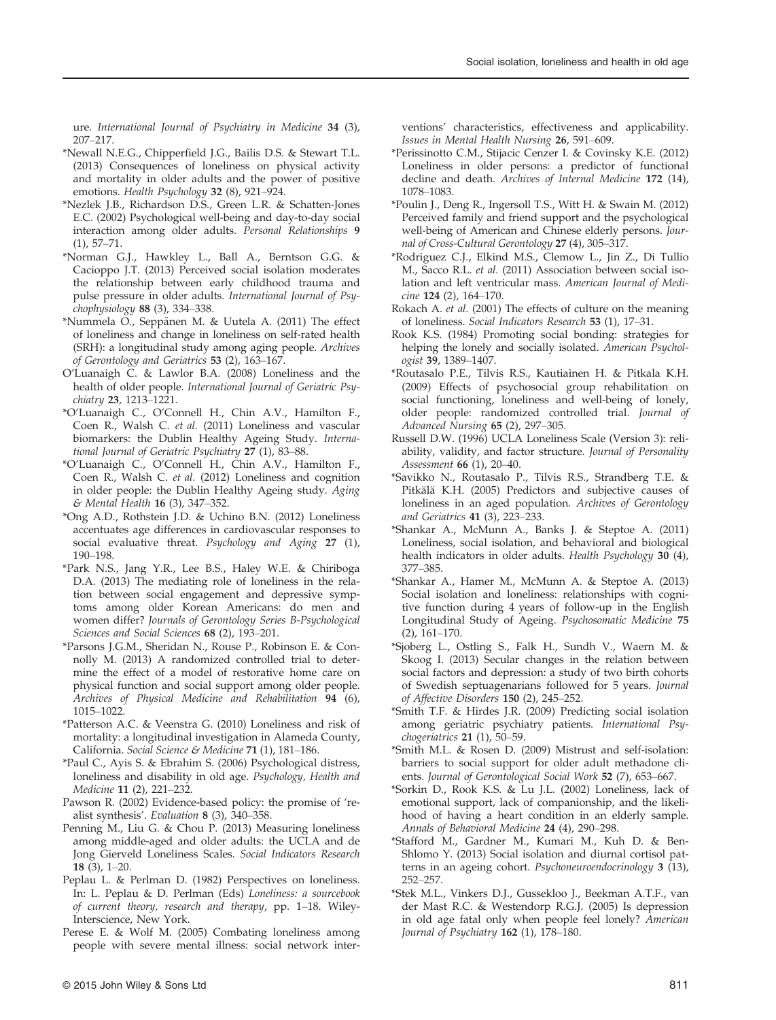ure. International Journal of Psychiatry in Medicine 34 (3), 207–217.

- \*Newall N.E.G., Chipperfield J.G., Bailis D.S. & Stewart T.L. (2013) Consequences of loneliness on physical activity and mortality in older adults and the power of positive emotions. Health Psychology 32 (8), 921–924.
- \*Nezlek J.B., Richardson D.S., Green L.R. & Schatten-Jones E.C. (2002) Psychological well-being and day-to-day social interaction among older adults. Personal Relationships 9 (1), 57–71.
- \*Norman G.J., Hawkley L., Ball A., Berntson G.G. & Cacioppo J.T. (2013) Perceived social isolation moderates the relationship between early childhood trauma and pulse pressure in older adults. International Journal of Psychophysiology 88 (3), 334–338.
- \*Nummela O., Seppänen M. & Uutela A. (2011) The effect of loneliness and change in loneliness on self-rated health (SRH): a longitudinal study among aging people. Archives of Gerontology and Geriatrics 53 (2), 163–167.
- O'Luanaigh C. & Lawlor B.A. (2008) Loneliness and the health of older people. International Journal of Geriatric Psychiatry 23, 1213–1221.
- \*O'Luanaigh C., O'Connell H., Chin A.V., Hamilton F., Coen R., Walsh C. et al. (2011) Loneliness and vascular biomarkers: the Dublin Healthy Ageing Study. International Journal of Geriatric Psychiatry 27 (1), 83–88.
- \*O'Luanaigh C., O'Connell H., Chin A.V., Hamilton F., Coen R., Walsh C. et al. (2012) Loneliness and cognition in older people: the Dublin Healthy Ageing study. Aging & Mental Health 16 (3), 347–352.
- \*Ong A.D., Rothstein J.D. & Uchino B.N. (2012) Loneliness accentuates age differences in cardiovascular responses to social evaluative threat. Psychology and Aging 27 (1), 190–198.
- \*Park N.S., Jang Y.R., Lee B.S., Haley W.E. & Chiriboga D.A. (2013) The mediating role of loneliness in the relation between social engagement and depressive symptoms among older Korean Americans: do men and women differ? Journals of Gerontology Series B-Psychological Sciences and Social Sciences 68 (2), 193–201.
- \*Parsons J.G.M., Sheridan N., Rouse P., Robinson E. & Connolly M. (2013) A randomized controlled trial to determine the effect of a model of restorative home care on physical function and social support among older people. Archives of Physical Medicine and Rehabilitation 94 (6), 1015–1022.
- \*Patterson A.C. & Veenstra G. (2010) Loneliness and risk of mortality: a longitudinal investigation in Alameda County, California. Social Science & Medicine 71 (1), 181–186.
- \*Paul C., Ayis S. & Ebrahim S. (2006) Psychological distress, loneliness and disability in old age. Psychology, Health and Medicine 11 (2), 221–232.
- Pawson R. (2002) Evidence-based policy: the promise of 'realist synthesis'. Evaluation 8 (3), 340–358.
- Penning M., Liu G. & Chou P. (2013) Measuring loneliness among middle-aged and older adults: the UCLA and de Jong Gierveld Loneliness Scales. Social Indicators Research 18 (3), 1–20.
- Peplau L. & Perlman D. (1982) Perspectives on loneliness. In: L. Peplau & D. Perlman (Eds) Loneliness: a sourcebook of current theory, research and therapy, pp. 1–18. Wiley-Interscience, New York.
- Perese E. & Wolf M. (2005) Combating loneliness among people with severe mental illness: social network inter-

ventions' characteristics, effectiveness and applicability. Issues in Mental Health Nursing 26, 591–609.

- \*Perissinotto C.M., Stijacic Cenzer I. & Covinsky K.E. (2012) Loneliness in older persons: a predictor of functional decline and death. Archives of Internal Medicine 172 (14), 1078–1083.
- \*Poulin J., Deng R., Ingersoll T.S., Witt H. & Swain M. (2012) Perceived family and friend support and the psychological well-being of American and Chinese elderly persons. Journal of Cross-Cultural Gerontology 27 (4), 305–317.
- \*Rodriguez C.J., Elkind M.S., Clemow L., Jin Z., Di Tullio M., Sacco R.L. et al. (2011) Association between social isolation and left ventricular mass. American Journal of Medicine 124 (2), 164–170.
- Rokach A. et al. (2001) The effects of culture on the meaning of loneliness. Social Indicators Research 53 (1), 17–31.
- Rook K.S. (1984) Promoting social bonding: strategies for helping the lonely and socially isolated. American Psychologist 39, 1389–1407.
- \*Routasalo P.E., Tilvis R.S., Kautiainen H. & Pitkala K.H. (2009) Effects of psychosocial group rehabilitation on social functioning, loneliness and well-being of lonely, older people: randomized controlled trial. Journal of Advanced Nursing 65 (2), 297–305.
- Russell D.W. (1996) UCLA Loneliness Scale (Version 3): reliability, validity, and factor structure. Journal of Personality Assessment 66 (1), 20–40.
- \*Savikko N., Routasalo P., Tilvis R.S., Strandberg T.E. & Pitkälä K.H. (2005) Predictors and subjective causes of loneliness in an aged population. Archives of Gerontology and Geriatrics  $41$  (3),  $22\overline{3} - \overline{2}33$ .
- \*Shankar A., McMunn A., Banks J. & Steptoe A. (2011) Loneliness, social isolation, and behavioral and biological health indicators in older adults. Health Psychology 30 (4), 377–385.
- \*Shankar A., Hamer M., McMunn A. & Steptoe A. (2013) Social isolation and loneliness: relationships with cognitive function during 4 years of follow-up in the English Longitudinal Study of Ageing. Psychosomatic Medicine 75 (2), 161–170.
- \*Sjoberg L., Ostling S., Falk H., Sundh V., Waern M. & Skoog I. (2013) Secular changes in the relation between social factors and depression: a study of two birth cohorts of Swedish septuagenarians followed for 5 years. Journal of Affective Disorders 150 (2), 245–252.
- \*Smith T.F. & Hirdes J.R. (2009) Predicting social isolation among geriatric psychiatry patients. International Psychogeriatrics  $21$  (1),  $50-59$ .
- \*Smith M.L. & Rosen D. (2009) Mistrust and self-isolation: barriers to social support for older adult methadone clients. Journal of Gerontological Social Work 52 (7), 653–667.
- \*Sorkin D., Rook K.S. & Lu J.L. (2002) Loneliness, lack of emotional support, lack of companionship, and the likelihood of having a heart condition in an elderly sample. Annals of Behavioral Medicine 24 (4), 290–298.
- \*Stafford M., Gardner M., Kumari M., Kuh D. & Ben-Shlomo Y. (2013) Social isolation and diurnal cortisol patterns in an ageing cohort. Psychoneuroendocrinology 3 (13), 252–257.
- \*Stek M.L., Vinkers D.J., Gussekloo J., Beekman A.T.F., van der Mast R.C. & Westendorp R.G.J. (2005) Is depression in old age fatal only when people feel lonely? American Journal of Psychiatry 162 (1), 178–180.